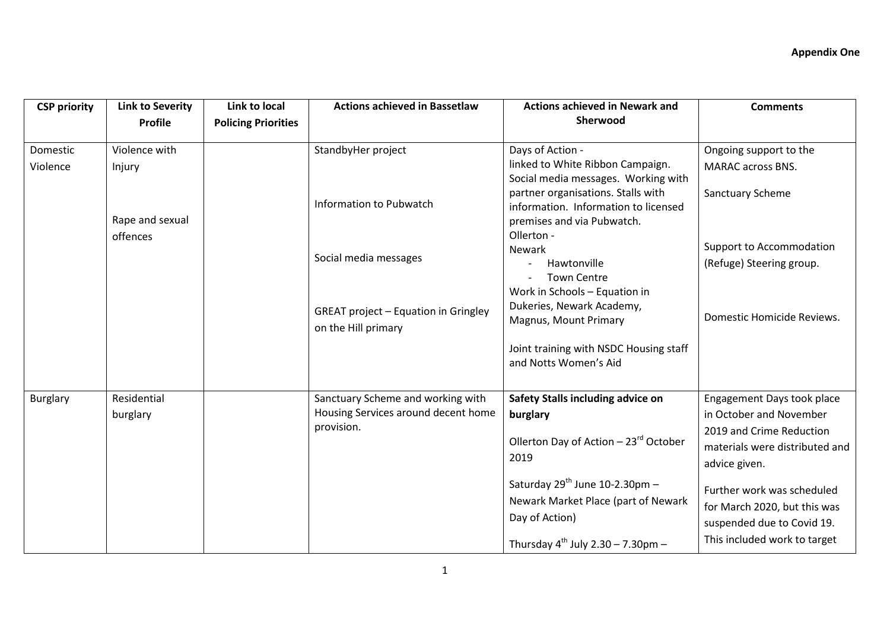| <b>CSP priority</b> | <b>Link to Severity</b><br><b>Profile</b> | Link to local<br><b>Policing Priorities</b> | <b>Actions achieved in Bassetlaw</b>                                     | <b>Actions achieved in Newark and</b><br>Sherwood                                                                                                                                   | <b>Comments</b>                                                                          |
|---------------------|-------------------------------------------|---------------------------------------------|--------------------------------------------------------------------------|-------------------------------------------------------------------------------------------------------------------------------------------------------------------------------------|------------------------------------------------------------------------------------------|
| Domestic            | Violence with                             |                                             | StandbyHer project                                                       | Days of Action -                                                                                                                                                                    | Ongoing support to the                                                                   |
| Violence            | Injury<br>Rape and sexual                 |                                             | Information to Pubwatch                                                  | linked to White Ribbon Campaign.<br>Social media messages. Working with<br>partner organisations. Stalls with<br>information. Information to licensed<br>premises and via Pubwatch. | <b>MARAC</b> across BNS.<br>Sanctuary Scheme                                             |
|                     | offences                                  |                                             | Social media messages                                                    | Ollerton -<br>Newark<br>Hawtonville<br><b>Town Centre</b><br>Work in Schools - Equation in                                                                                          | Support to Accommodation<br>(Refuge) Steering group.                                     |
|                     |                                           |                                             | <b>GREAT project - Equation in Gringley</b><br>on the Hill primary       | Dukeries, Newark Academy,<br>Magnus, Mount Primary                                                                                                                                  | Domestic Homicide Reviews.                                                               |
|                     |                                           |                                             |                                                                          | Joint training with NSDC Housing staff<br>and Notts Women's Aid                                                                                                                     |                                                                                          |
| <b>Burglary</b>     | Residential<br>burglary                   |                                             | Sanctuary Scheme and working with<br>Housing Services around decent home | Safety Stalls including advice on<br>burglary                                                                                                                                       | Engagement Days took place<br>in October and November                                    |
|                     |                                           | provision.                                  | Ollerton Day of Action - 23rd October<br>2019                            | 2019 and Crime Reduction<br>materials were distributed and<br>advice given.                                                                                                         |                                                                                          |
|                     |                                           |                                             |                                                                          | Saturday 29 <sup>th</sup> June 10-2.30pm -<br>Newark Market Place (part of Newark<br>Day of Action)                                                                                 | Further work was scheduled<br>for March 2020, but this was<br>suspended due to Covid 19. |
|                     |                                           |                                             |                                                                          | Thursday $4^{th}$ July 2.30 - 7.30pm -                                                                                                                                              | This included work to target                                                             |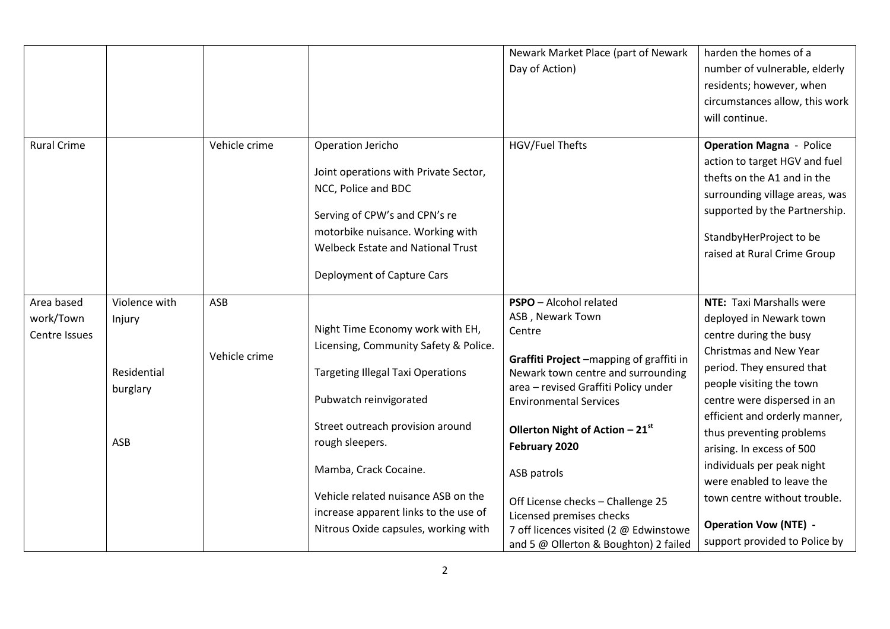|                                          |                                                           |                      |                                                                                                                                                                                                                                                                                                                                                         | Newark Market Place (part of Newark<br>Day of Action)                                                                                                                                                                                                                                                                                                   | harden the homes of a<br>number of vulnerable, elderly<br>residents; however, when<br>circumstances allow, this work<br>will continue.                                                                                                                                                                                                                                                                                      |
|------------------------------------------|-----------------------------------------------------------|----------------------|---------------------------------------------------------------------------------------------------------------------------------------------------------------------------------------------------------------------------------------------------------------------------------------------------------------------------------------------------------|---------------------------------------------------------------------------------------------------------------------------------------------------------------------------------------------------------------------------------------------------------------------------------------------------------------------------------------------------------|-----------------------------------------------------------------------------------------------------------------------------------------------------------------------------------------------------------------------------------------------------------------------------------------------------------------------------------------------------------------------------------------------------------------------------|
| <b>Rural Crime</b>                       |                                                           | Vehicle crime        | Operation Jericho<br>Joint operations with Private Sector,<br>NCC, Police and BDC<br>Serving of CPW's and CPN's re<br>motorbike nuisance. Working with<br><b>Welbeck Estate and National Trust</b><br>Deployment of Capture Cars                                                                                                                        | HGV/Fuel Thefts                                                                                                                                                                                                                                                                                                                                         | <b>Operation Magna - Police</b><br>action to target HGV and fuel<br>thefts on the A1 and in the<br>surrounding village areas, was<br>supported by the Partnership.<br>StandbyHerProject to be<br>raised at Rural Crime Group                                                                                                                                                                                                |
| Area based<br>work/Town<br>Centre Issues | Violence with<br>Injury<br>Residential<br>burglary<br>ASB | ASB<br>Vehicle crime | Night Time Economy work with EH,<br>Licensing, Community Safety & Police.<br><b>Targeting Illegal Taxi Operations</b><br>Pubwatch reinvigorated<br>Street outreach provision around<br>rough sleepers.<br>Mamba, Crack Cocaine.<br>Vehicle related nuisance ASB on the<br>increase apparent links to the use of<br>Nitrous Oxide capsules, working with | PSPO - Alcohol related<br>ASB, Newark Town<br>Centre<br>Graffiti Project -mapping of graffiti in<br>Newark town centre and surrounding<br>area - revised Graffiti Policy under<br><b>Environmental Services</b><br>Ollerton Night of Action $-21^{st}$<br>February 2020<br>ASB patrols<br>Off License checks - Challenge 25<br>Licensed premises checks | <b>NTE:</b> Taxi Marshalls were<br>deployed in Newark town<br>centre during the busy<br>Christmas and New Year<br>period. They ensured that<br>people visiting the town<br>centre were dispersed in an<br>efficient and orderly manner,<br>thus preventing problems<br>arising. In excess of 500<br>individuals per peak night<br>were enabled to leave the<br>town centre without trouble.<br><b>Operation Vow (NTE) -</b> |
|                                          |                                                           |                      |                                                                                                                                                                                                                                                                                                                                                         | 7 off licences visited (2 @ Edwinstowe<br>and 5 @ Ollerton & Boughton) 2 failed                                                                                                                                                                                                                                                                         | support provided to Police by                                                                                                                                                                                                                                                                                                                                                                                               |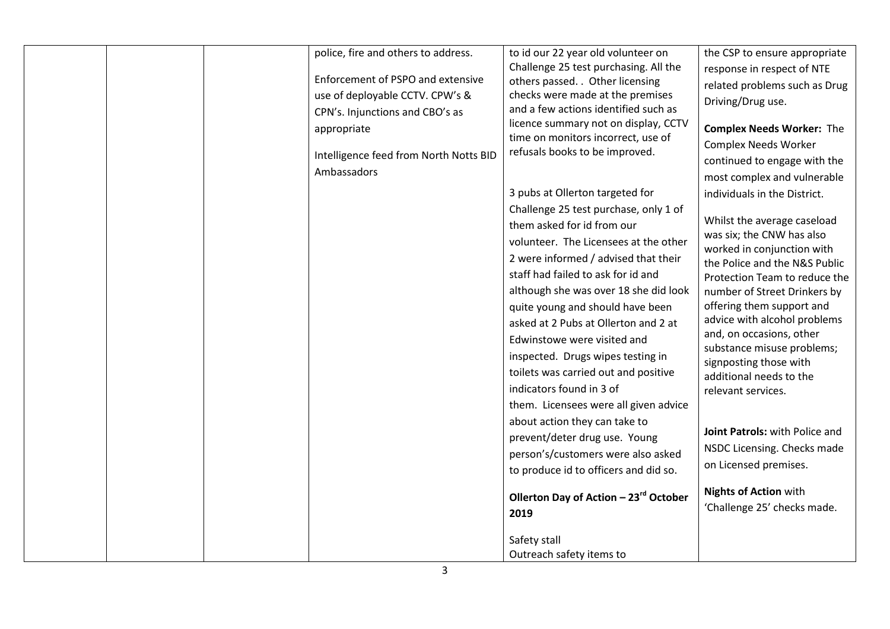|  | police, fire and others to address.    | to id our 22 year old volunteer on                                        | the CSP to ensure appropriate                               |
|--|----------------------------------------|---------------------------------------------------------------------------|-------------------------------------------------------------|
|  | Enforcement of PSPO and extensive      | Challenge 25 test purchasing. All the<br>others passed. . Other licensing | response in respect of NTE                                  |
|  | use of deployable CCTV. CPW's &        | checks were made at the premises                                          | related problems such as Drug                               |
|  |                                        | and a few actions identified such as                                      | Driving/Drug use.                                           |
|  | CPN's. Injunctions and CBO's as        | licence summary not on display, CCTV                                      |                                                             |
|  | appropriate                            | time on monitors incorrect, use of                                        | <b>Complex Needs Worker: The</b>                            |
|  | Intelligence feed from North Notts BID | refusals books to be improved.                                            | <b>Complex Needs Worker</b>                                 |
|  | Ambassadors                            |                                                                           | continued to engage with the                                |
|  |                                        |                                                                           | most complex and vulnerable                                 |
|  |                                        | 3 pubs at Ollerton targeted for                                           | individuals in the District.                                |
|  |                                        | Challenge 25 test purchase, only 1 of                                     |                                                             |
|  |                                        | them asked for id from our                                                | Whilst the average caseload                                 |
|  |                                        | volunteer. The Licensees at the other                                     | was six; the CNW has also                                   |
|  |                                        | 2 were informed / advised that their                                      | worked in conjunction with<br>the Police and the N&S Public |
|  |                                        | staff had failed to ask for id and                                        | Protection Team to reduce the                               |
|  |                                        | although she was over 18 she did look                                     | number of Street Drinkers by                                |
|  |                                        | quite young and should have been                                          | offering them support and                                   |
|  |                                        | asked at 2 Pubs at Ollerton and 2 at                                      | advice with alcohol problems                                |
|  |                                        |                                                                           | and, on occasions, other                                    |
|  |                                        | Edwinstowe were visited and                                               | substance misuse problems;                                  |
|  |                                        | inspected. Drugs wipes testing in                                         | signposting those with                                      |
|  |                                        | toilets was carried out and positive                                      | additional needs to the                                     |
|  |                                        | indicators found in 3 of                                                  | relevant services.                                          |
|  |                                        | them. Licensees were all given advice                                     |                                                             |
|  |                                        | about action they can take to                                             |                                                             |
|  |                                        | prevent/deter drug use. Young                                             | Joint Patrols: with Police and                              |
|  |                                        | person's/customers were also asked                                        | NSDC Licensing. Checks made                                 |
|  |                                        | to produce id to officers and did so.                                     | on Licensed premises.                                       |
|  |                                        |                                                                           |                                                             |
|  |                                        | Ollerton Day of Action - 23rd October                                     | <b>Nights of Action with</b>                                |
|  |                                        | 2019                                                                      | 'Challenge 25' checks made.                                 |
|  |                                        |                                                                           |                                                             |
|  |                                        | Safety stall                                                              |                                                             |
|  |                                        | Outreach safety items to                                                  |                                                             |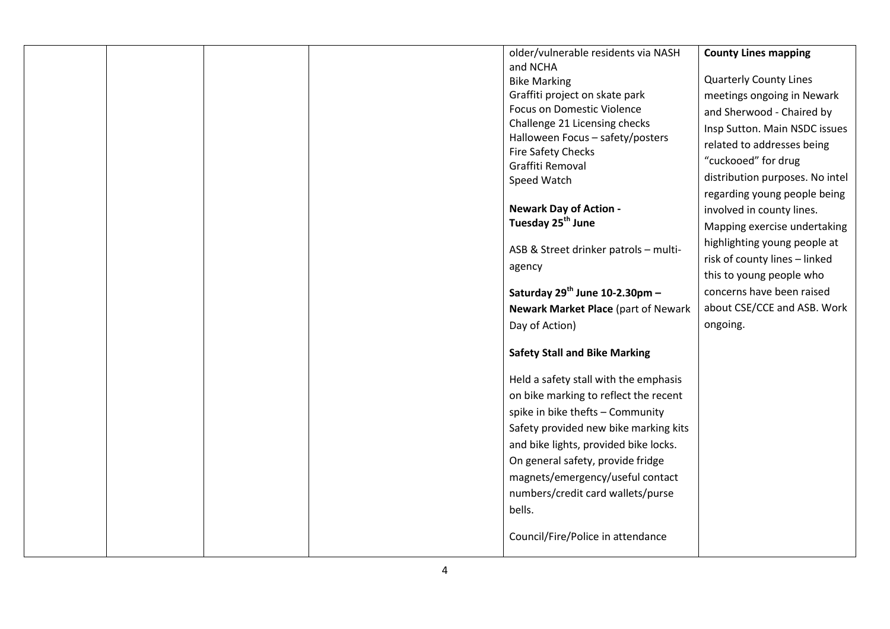|  |  | older/vulnerable residents via NASH                   | <b>County Lines mapping</b>     |
|--|--|-------------------------------------------------------|---------------------------------|
|  |  | and NCHA                                              | <b>Quarterly County Lines</b>   |
|  |  | <b>Bike Marking</b><br>Graffiti project on skate park | meetings ongoing in Newark      |
|  |  | <b>Focus on Domestic Violence</b>                     |                                 |
|  |  | Challenge 21 Licensing checks                         | and Sherwood - Chaired by       |
|  |  | Halloween Focus - safety/posters                      | Insp Sutton. Main NSDC issues   |
|  |  | Fire Safety Checks                                    | related to addresses being      |
|  |  | Graffiti Removal                                      | "cuckooed" for drug             |
|  |  | Speed Watch                                           | distribution purposes. No intel |
|  |  |                                                       | regarding young people being    |
|  |  | <b>Newark Day of Action -</b>                         | involved in county lines.       |
|  |  | Tuesday 25 <sup>th</sup> June                         | Mapping exercise undertaking    |
|  |  |                                                       | highlighting young people at    |
|  |  | ASB & Street drinker patrols - multi-                 | risk of county lines - linked   |
|  |  | agency                                                | this to young people who        |
|  |  | Saturday 29th June 10-2.30pm -                        | concerns have been raised       |
|  |  | <b>Newark Market Place (part of Newark</b>            | about CSE/CCE and ASB. Work     |
|  |  | Day of Action)                                        | ongoing.                        |
|  |  |                                                       |                                 |
|  |  | <b>Safety Stall and Bike Marking</b>                  |                                 |
|  |  | Held a safety stall with the emphasis                 |                                 |
|  |  | on bike marking to reflect the recent                 |                                 |
|  |  | spike in bike thefts - Community                      |                                 |
|  |  | Safety provided new bike marking kits                 |                                 |
|  |  | and bike lights, provided bike locks.                 |                                 |
|  |  | On general safety, provide fridge                     |                                 |
|  |  | magnets/emergency/useful contact                      |                                 |
|  |  | numbers/credit card wallets/purse                     |                                 |
|  |  | bells.                                                |                                 |
|  |  |                                                       |                                 |
|  |  | Council/Fire/Police in attendance                     |                                 |
|  |  |                                                       |                                 |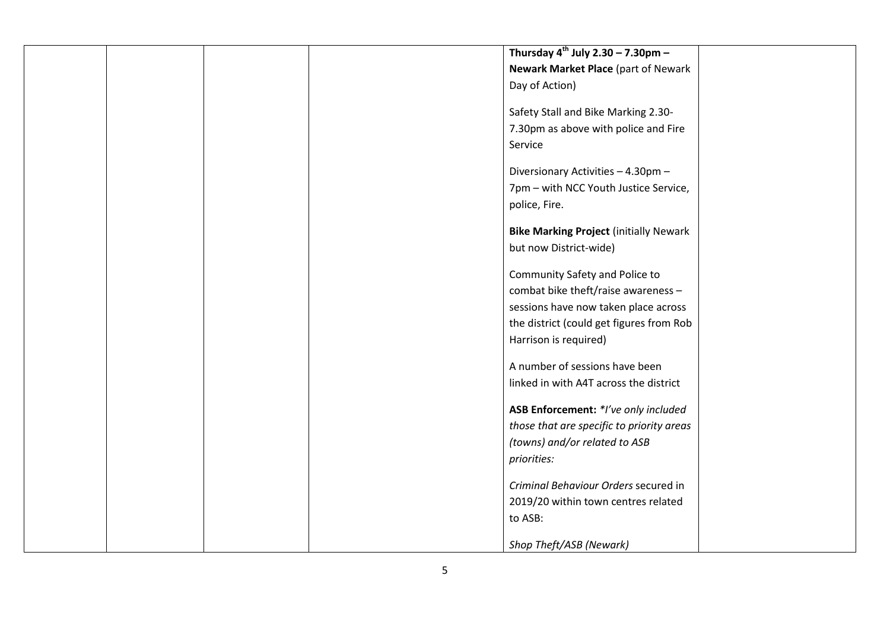|  | Thursday $4^{th}$ July 2.30 - 7.30pm -        |  |
|--|-----------------------------------------------|--|
|  | Newark Market Place (part of Newark           |  |
|  |                                               |  |
|  | Day of Action)                                |  |
|  | Safety Stall and Bike Marking 2.30-           |  |
|  | 7.30pm as above with police and Fire          |  |
|  | Service                                       |  |
|  |                                               |  |
|  | Diversionary Activities - 4.30pm -            |  |
|  | 7pm - with NCC Youth Justice Service,         |  |
|  | police, Fire.                                 |  |
|  | <b>Bike Marking Project (initially Newark</b> |  |
|  | but now District-wide)                        |  |
|  | Community Safety and Police to                |  |
|  | combat bike theft/raise awareness -           |  |
|  | sessions have now taken place across          |  |
|  | the district (could get figures from Rob      |  |
|  | Harrison is required)                         |  |
|  |                                               |  |
|  | A number of sessions have been                |  |
|  | linked in with A4T across the district        |  |
|  | ASB Enforcement: *I've only included          |  |
|  | those that are specific to priority areas     |  |
|  | (towns) and/or related to ASB                 |  |
|  | priorities:                                   |  |
|  |                                               |  |
|  | Criminal Behaviour Orders secured in          |  |
|  | 2019/20 within town centres related           |  |
|  | to ASB:                                       |  |
|  |                                               |  |
|  | Shop Theft/ASB (Newark)                       |  |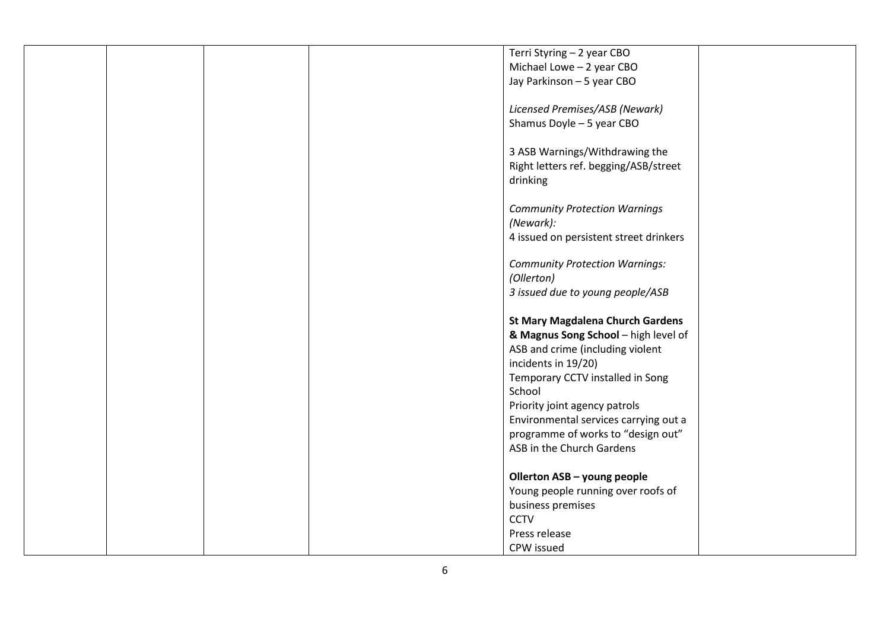|  |  | Terri Styring - 2 year CBO              |  |
|--|--|-----------------------------------------|--|
|  |  | Michael Lowe - 2 year CBO               |  |
|  |  | Jay Parkinson - 5 year CBO              |  |
|  |  |                                         |  |
|  |  | Licensed Premises/ASB (Newark)          |  |
|  |  | Shamus Doyle - 5 year CBO               |  |
|  |  |                                         |  |
|  |  | 3 ASB Warnings/Withdrawing the          |  |
|  |  |                                         |  |
|  |  | Right letters ref. begging/ASB/street   |  |
|  |  | drinking                                |  |
|  |  |                                         |  |
|  |  | <b>Community Protection Warnings</b>    |  |
|  |  | (Newark):                               |  |
|  |  | 4 issued on persistent street drinkers  |  |
|  |  |                                         |  |
|  |  | <b>Community Protection Warnings:</b>   |  |
|  |  | (Ollerton)                              |  |
|  |  | 3 issued due to young people/ASB        |  |
|  |  |                                         |  |
|  |  | <b>St Mary Magdalena Church Gardens</b> |  |
|  |  | & Magnus Song School - high level of    |  |
|  |  | ASB and crime (including violent        |  |
|  |  | incidents in 19/20)                     |  |
|  |  |                                         |  |
|  |  | Temporary CCTV installed in Song        |  |
|  |  | School                                  |  |
|  |  | Priority joint agency patrols           |  |
|  |  | Environmental services carrying out a   |  |
|  |  | programme of works to "design out"      |  |
|  |  | ASB in the Church Gardens               |  |
|  |  |                                         |  |
|  |  | Ollerton ASB - young people             |  |
|  |  | Young people running over roofs of      |  |
|  |  | business premises                       |  |
|  |  | <b>CCTV</b>                             |  |
|  |  | Press release                           |  |
|  |  | CPW issued                              |  |
|  |  |                                         |  |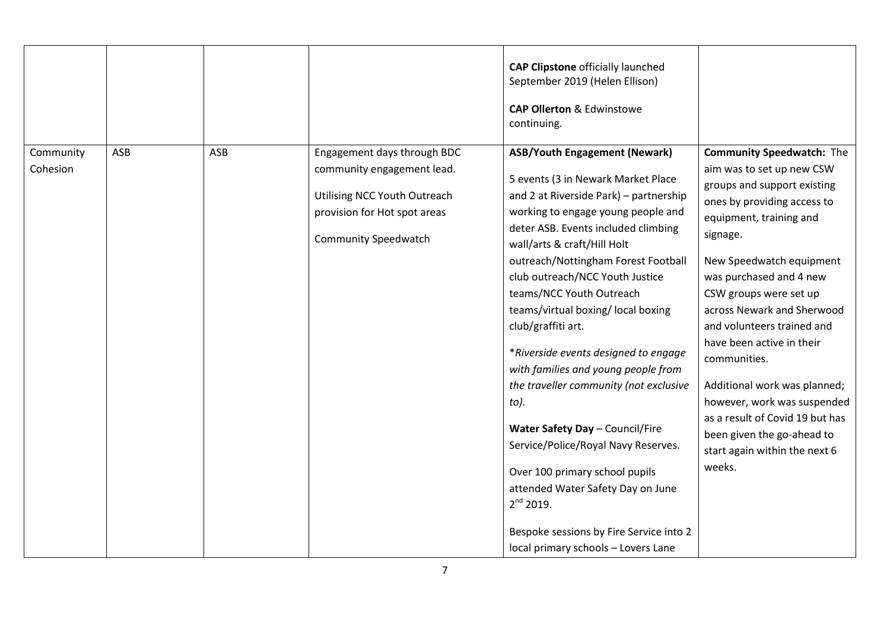|                       |     |     |                                                                                                                                                          | <b>CAP Clipstone officially launched</b><br>September 2019 (Helen Ellison)<br><b>CAP Ollerton &amp; Edwinstowe</b><br>continuing.                                                                                                                                                                                                                                                                                                                                                                                                                                                                                                                                                                                                                                                        |                                                                                                                                                                                                                                                                                                                                                                                                                                                                                                                                         |
|-----------------------|-----|-----|----------------------------------------------------------------------------------------------------------------------------------------------------------|------------------------------------------------------------------------------------------------------------------------------------------------------------------------------------------------------------------------------------------------------------------------------------------------------------------------------------------------------------------------------------------------------------------------------------------------------------------------------------------------------------------------------------------------------------------------------------------------------------------------------------------------------------------------------------------------------------------------------------------------------------------------------------------|-----------------------------------------------------------------------------------------------------------------------------------------------------------------------------------------------------------------------------------------------------------------------------------------------------------------------------------------------------------------------------------------------------------------------------------------------------------------------------------------------------------------------------------------|
| Community<br>Cohesion | ASB | ASB | Engagement days through BDC<br>community engagement lead.<br>Utilising NCC Youth Outreach<br>provision for Hot spot areas<br><b>Community Speedwatch</b> | <b>ASB/Youth Engagement (Newark)</b><br>5 events (3 in Newark Market Place<br>and 2 at Riverside Park) - partnership<br>working to engage young people and<br>deter ASB. Events included climbing<br>wall/arts & craft/Hill Holt<br>outreach/Nottingham Forest Football<br>club outreach/NCC Youth Justice<br>teams/NCC Youth Outreach<br>teams/virtual boxing/ local boxing<br>club/graffiti art.<br>*Riverside events designed to engage<br>with families and young people from<br>the traveller community (not exclusive<br>to).<br>Water Safety Day - Council/Fire<br>Service/Police/Royal Navy Reserves.<br>Over 100 primary school pupils<br>attended Water Safety Day on June<br>$2^{nd}$ 2019.<br>Bespoke sessions by Fire Service into 2<br>local primary schools - Lovers Lane | <b>Community Speedwatch: The</b><br>aim was to set up new CSW<br>groups and support existing<br>ones by providing access to<br>equipment, training and<br>signage.<br>New Speedwatch equipment<br>was purchased and 4 new<br>CSW groups were set up<br>across Newark and Sherwood<br>and volunteers trained and<br>have been active in their<br>communities.<br>Additional work was planned;<br>however, work was suspended<br>as a result of Covid 19 but has<br>been given the go-ahead to<br>start again within the next 6<br>weeks. |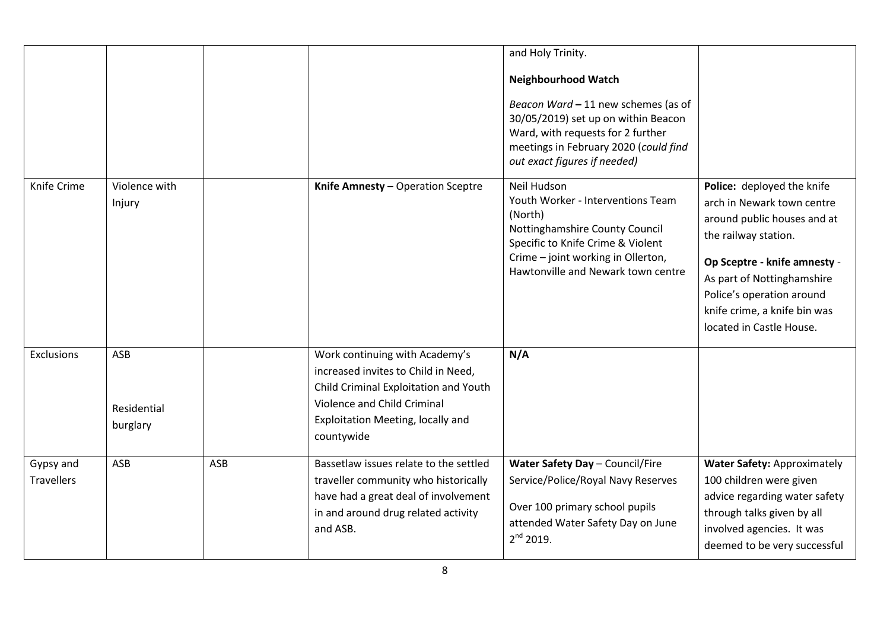|                                |                                |     |                                                                                                                                                                                                  | and Holy Trinity.<br><b>Neighbourhood Watch</b><br>Beacon Ward - 11 new schemes (as of<br>30/05/2019) set up on within Beacon<br>Ward, with requests for 2 further<br>meetings in February 2020 (could find<br>out exact figures if needed) |                                                                                                                                                                                                                                                                        |
|--------------------------------|--------------------------------|-----|--------------------------------------------------------------------------------------------------------------------------------------------------------------------------------------------------|---------------------------------------------------------------------------------------------------------------------------------------------------------------------------------------------------------------------------------------------|------------------------------------------------------------------------------------------------------------------------------------------------------------------------------------------------------------------------------------------------------------------------|
| Knife Crime                    | Violence with<br>Injury        |     | Knife Amnesty - Operation Sceptre                                                                                                                                                                | Neil Hudson<br>Youth Worker - Interventions Team<br>(North)<br>Nottinghamshire County Council<br>Specific to Knife Crime & Violent<br>Crime - joint working in Ollerton,<br>Hawtonville and Newark town centre                              | Police: deployed the knife<br>arch in Newark town centre<br>around public houses and at<br>the railway station.<br>Op Sceptre - knife amnesty -<br>As part of Nottinghamshire<br>Police's operation around<br>knife crime, a knife bin was<br>located in Castle House. |
| Exclusions                     | ASB<br>Residential<br>burglary |     | Work continuing with Academy's<br>increased invites to Child in Need,<br>Child Criminal Exploitation and Youth<br>Violence and Child Criminal<br>Exploitation Meeting, locally and<br>countywide | N/A                                                                                                                                                                                                                                         |                                                                                                                                                                                                                                                                        |
| Gypsy and<br><b>Travellers</b> | ASB                            | ASB | Bassetlaw issues relate to the settled<br>traveller community who historically<br>have had a great deal of involvement<br>in and around drug related activity<br>and ASB.                        | Water Safety Day - Council/Fire<br>Service/Police/Royal Navy Reserves<br>Over 100 primary school pupils<br>attended Water Safety Day on June<br>$2^{nd}$ 2019.                                                                              | <b>Water Safety: Approximately</b><br>100 children were given<br>advice regarding water safety<br>through talks given by all<br>involved agencies. It was<br>deemed to be very successful                                                                              |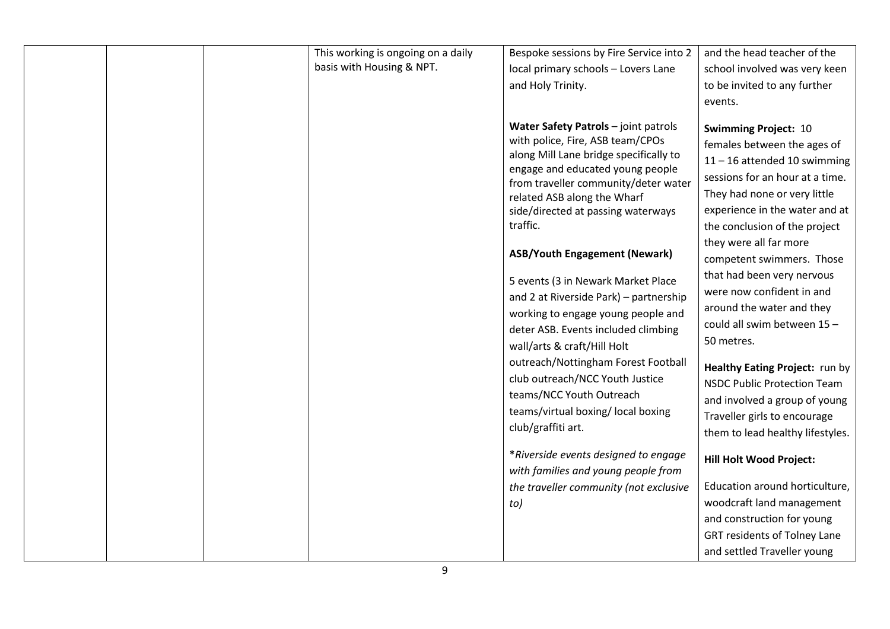| This working is ongoing on a daily<br>basis with Housing & NPT. | Bespoke sessions by Fire Service into 2<br>local primary schools - Lovers Lane<br>and Holy Trinity.<br>Water Safety Patrols - joint patrols                                                                                             | and the head teacher of the<br>school involved was very keen<br>to be invited to any further<br>events.<br><b>Swimming Project: 10</b>                                                                                        |
|-----------------------------------------------------------------|-----------------------------------------------------------------------------------------------------------------------------------------------------------------------------------------------------------------------------------------|-------------------------------------------------------------------------------------------------------------------------------------------------------------------------------------------------------------------------------|
|                                                                 | with police, Fire, ASB team/CPOs<br>along Mill Lane bridge specifically to<br>engage and educated young people<br>from traveller community/deter water<br>related ASB along the Wharf<br>side/directed at passing waterways<br>traffic. | females between the ages of<br>$11 - 16$ attended 10 swimming<br>sessions for an hour at a time.<br>They had none or very little<br>experience in the water and at<br>the conclusion of the project<br>they were all far more |
|                                                                 | <b>ASB/Youth Engagement (Newark)</b>                                                                                                                                                                                                    | competent swimmers. Those                                                                                                                                                                                                     |
|                                                                 | 5 events (3 in Newark Market Place<br>and 2 at Riverside Park) - partnership<br>working to engage young people and<br>deter ASB. Events included climbing<br>wall/arts & craft/Hill Holt                                                | that had been very nervous<br>were now confident in and<br>around the water and they<br>could all swim between 15-<br>50 metres.                                                                                              |
|                                                                 | outreach/Nottingham Forest Football<br>club outreach/NCC Youth Justice<br>teams/NCC Youth Outreach<br>teams/virtual boxing/ local boxing<br>club/graffiti art.                                                                          | Healthy Eating Project: run by<br><b>NSDC Public Protection Team</b><br>and involved a group of young<br>Traveller girls to encourage<br>them to lead healthy lifestyles.                                                     |
|                                                                 | *Riverside events designed to engage<br>with families and young people from                                                                                                                                                             | <b>Hill Holt Wood Project:</b>                                                                                                                                                                                                |
|                                                                 | the traveller community (not exclusive                                                                                                                                                                                                  | Education around horticulture,                                                                                                                                                                                                |
|                                                                 | to)                                                                                                                                                                                                                                     | woodcraft land management                                                                                                                                                                                                     |
|                                                                 |                                                                                                                                                                                                                                         | and construction for young                                                                                                                                                                                                    |
|                                                                 |                                                                                                                                                                                                                                         | <b>GRT residents of Tolney Lane</b>                                                                                                                                                                                           |
|                                                                 |                                                                                                                                                                                                                                         | and settled Traveller young                                                                                                                                                                                                   |